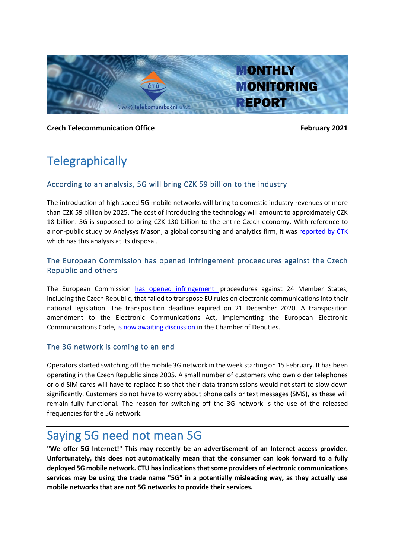

**Czech Telecommunication Office Czech Telecommunication Office** 

# **Telegraphically**

### According to an analysis, 5G will bring CZK 59 billion to the industry

The introduction of high-speed 5G mobile networks will bring to domestic industry revenues of more than CZK 59 billion by 2025. The cost of introducing the technology will amount to approximately CZK 18 billion. 5G is supposed to bring CZK 130 billion to the entire Czech economy. With reference to a non-public study by Analysys Mason, a global consulting and analytics firm, it was [reported by ČTK](https://www.itbiz.cz/zpravicky/analyza-zavedeni-5g-prinese-prumyslu-v-cr-59-miliard-kc) which has this analysis at its disposal.

### The European Commission has opened infringement proceedures against the Czech Republic and others

The European Commission has opened [infringement p](https://ec.europa.eu/commission/presscorner/detail/en/ip_21_206)roceedures against 24 Member States, including the Czech Republic, that failed to transpose EU rules on electronic communications into their national legislation. The transposition deadline expired on 21 December 2020. A transposition amendment to the Electronic Communications Act, implementing the European Electronic Communications Code, [is now awaiting discussion](https://public.psp.cz/en/sqw/text/tiskt.sqw?ct=1084&ct1=0&o=8) in the Chamber of Deputies.

### The 3G network is coming to an end

Operators started switching off the mobile 3G network in the week starting on 15 February. It has been operating in the Czech Republic since 2005. A small number of customers who own older telephones or old SIM cards will have to replace it so that their data transmissions would not start to slow down significantly. Customers do not have to worry about phone calls or text messages (SMS), as these will remain fully functional. The reason for switching off the 3G network is the use of the released frequencies for the 5G network.

### Saying 5G need not mean 5G

**"We offer 5G Internet!" This may recently be an advertisement of an Internet access provider. Unfortunately, this does not automatically mean that the consumer can look forward to a fully deployed 5G mobile network. CTU has indications that some providers of electronic communications services may be using the trade name "5G" in a potentially misleading way, as they actually use mobile networks that are not 5G networks to provide their services.**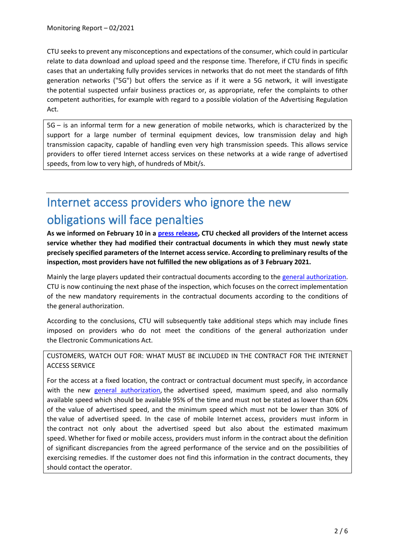CTU seeks to prevent any misconceptions and expectations of the consumer, which could in particular relate to data download and upload speed and the response time. Therefore, if CTU finds in specific cases that an undertaking fully provides services in networks that do not meet the standards of fifth generation networks ("5G") but offers the service as if it were a 5G network, it will investigate the potential suspected unfair business practices or, as appropriate, refer the complaints to other competent authorities, for example with regard to a possible violation of the Advertising Regulation Act.

5G – is an informal term for a new generation of mobile networks, which is characterized by the support for a large number of terminal equipment devices, low transmission delay and high transmission capacity, capable of handling even very high transmission speeds. This allows service providers to offer tiered Internet access services on these networks at a wide range of advertised speeds, from low to very high, of hundreds of Mbit/s.

# Internet access providers who ignore the new obligations will face penalties

**As we informed on February 10 in a [press release,](https://www.ctu.eu/press-release-most-internet-access-providers-failed-comply-new-obligations-inform-customers-about) CTU checked all providers of the Internet access service whether they had modified their contractual documents in which they must newly state precisely specified parameters of the Internet access service. According to preliminary results of the inspection, most providers have not fulfilled the new obligations as of 3 February 2021.**

Mainly the large players updated their contractual documents according to th[e general authorization.](https://www.ctu.cz/sites/default/files/obsah/ctu/telekomunikacni-vestnik-castka-09/2020/obrazky/telekomunikacnivestnikcastka09.pdf) CTU is now continuing the next phase of the inspection, which focuses on the correct implementation of the new mandatory requirements in the contractual documents according to the conditions of the general authorization.

According to the conclusions, CTU will subsequently take additional steps which may include fines imposed on providers who do not meet the conditions of the general authorization under the Electronic Communications Act.

CUSTOMERS, WATCH OUT FOR: WHAT MUST BE INCLUDED IN THE CONTRACT FOR THE INTERNET ACCESS SERVICE

For the access at a fixed location, the contract or contractual document must specify, in accordance with the new [general authorization,](https://www.ctu.cz/sites/default/files/obsah/ctu/telekomunikacni-vestnik-castka-09/2020/obrazky/telekomunikacnivestnikcastka09.pdf) the advertised speed, maximum speed, and also normally available speed which should be available 95% of the time and must not be stated as lower than 60% of the value of advertised speed, and the minimum speed which must not be lower than 30% of the value of advertised speed. In the case of mobile Internet access, providers must inform in the contract not only about the advertised speed but also about the estimated maximum speed. Whether for fixed or mobile access, providers must inform in the contract about the definition of significant discrepancies from the agreed performance of the service and on the possibilities of exercising remedies. If the customer does not find this information in the contract documents, they should contact the operator.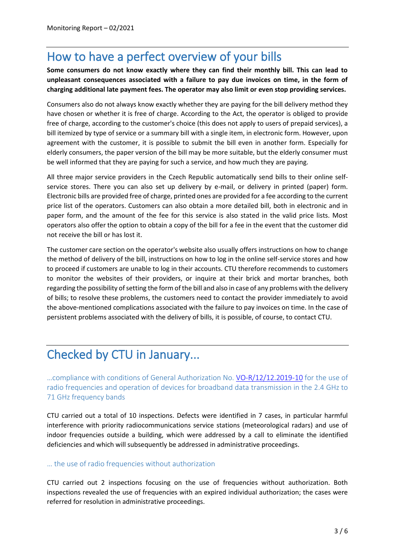## How to have a perfect overview of your bills

**Some consumers do not know exactly where they can find their monthly bill. This can lead to unpleasant consequences associated with a failure to pay due invoices on time, in the form of charging additional late payment fees. The operator may also limit or even stop providing services.**

Consumers also do not always know exactly whether they are paying for the bill delivery method they have chosen or whether it is free of charge. According to the Act, the operator is obliged to provide free of charge, according to the customer's choice (this does not apply to users of prepaid services), a bill itemized by type of service or a summary bill with a single item, in electronic form. However, upon agreement with the customer, it is possible to submit the bill even in another form. Especially for elderly consumers, the paper version of the bill may be more suitable, but the elderly consumer must be well informed that they are paying for such a service, and how much they are paying.

All three major service providers in the Czech Republic automatically send bills to their online selfservice stores. There you can also set up delivery by e-mail, or delivery in printed (paper) form. Electronic bills are provided free of charge, printed ones are provided for a fee according to the current price list of the operators. Customers can also obtain a more detailed bill, both in electronic and in paper form, and the amount of the fee for this service is also stated in the valid price lists. Most operators also offer the option to obtain a copy of the bill for a fee in the event that the customer did not receive the bill or has lost it.

The customer care section on the operator's website also usually offers instructions on how to change the method of delivery of the bill, instructions on how to log in the online self-service stores and how to proceed if customers are unable to log in their accounts. CTU therefore recommends to customers to monitor the websites of their providers, or inquire at their brick and mortar branches, both regarding the possibility of setting the form of the bill and also in case of any problems with the delivery of bills; to resolve these problems, the customers need to contact the provider immediately to avoid the above-mentioned complications associated with the failure to pay invoices on time. In the case of persistent problems associated with the delivery of bills, it is possible, of course, to contact CTU.

## Checked by CTU in January...

…compliance with conditions of General Authorization No. [VO-R/12/12.2019-10](https://www.ctu.eu/sites/default/files/obsah/ctu/general-authorisation-no.vo-r/12/12.2019-10/obrazky/vo-r-12-122019-10en.pdf) for the use of radio frequencies and operation of devices for broadband data transmission in the 2.4 GHz to 71 GHz frequency bands

CTU carried out a total of 10 inspections. Defects were identified in 7 cases, in particular harmful interference with priority radiocommunications service stations (meteorological radars) and use of indoor frequencies outside a building, which were addressed by a call to eliminate the identified deficiencies and which will subsequently be addressed in administrative proceedings.

### … the use of radio frequencies without authorization

CTU carried out 2 inspections focusing on the use of frequencies without authorization. Both inspections revealed the use of frequencies with an expired individual authorization; the cases were referred for resolution in administrative proceedings.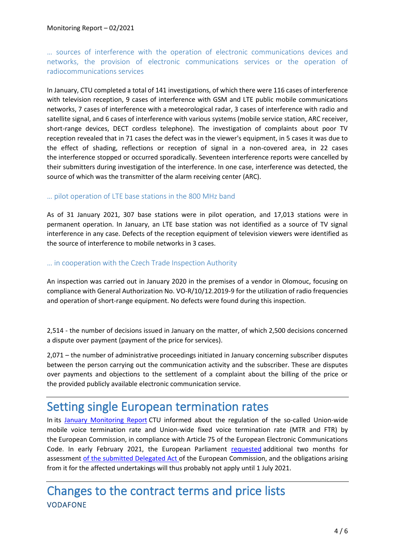… sources of interference with the operation of electronic communications devices and networks, the provision of electronic communications services or the operation of radiocommunications services

In January, CTU completed a total of 141 investigations, of which there were 116 cases of interference with television reception, 9 cases of interference with GSM and LTE public mobile communications networks, 7 cases of interference with a meteorological radar, 3 cases of interference with radio and satellite signal, and 6 cases of interference with various systems (mobile service station, ARC receiver, short-range devices, DECT cordless telephone). The investigation of complaints about poor TV reception revealed that in 71 cases the defect was in the viewer's equipment, in 5 cases it was due to the effect of shading, reflections or reception of signal in a non-covered area, in 22 cases the interference stopped or occurred sporadically. Seventeen interference reports were cancelled by their submitters during investigation of the interference. In one case, interference was detected, the source of which was the transmitter of the alarm receiving center (ARC).

### … pilot operation of LTE base stations in the 800 MHz band

As of 31 January 2021, 307 base stations were in pilot operation, and 17,013 stations were in permanent operation. In January, an LTE base station was not identified as a source of TV signal interference in any case. Defects of the reception equipment of television viewers were identified as the source of interference to mobile networks in 3 cases.

#### … in cooperation with the Czech Trade Inspection Authority

An inspection was carried out in January 2020 in the premises of a vendor in Olomouc, focusing on compliance with General Authorization No. VO-R/10/12.2019-9 for the utilization of radio frequencies and operation of short-range equipment. No defects were found during this inspection.

2,514 - the number of decisions issued in January on the matter, of which 2,500 decisions concerned a dispute over payment (payment of the price for services).

2,071 – the number of administrative proceedings initiated in January concerning subscriber disputes between the person carrying out the communication activity and the subscriber. These are disputes over payments and objections to the settlement of a complaint about the billing of the price or the provided publicly available electronic communication service.

### Setting single European termination rates

In its [January Monitoring Report](https://www.ctu.eu/sites/default/files/obsah/ctu/monthly-monitoring-report-no.1/2021/obrazky/mz2021-01en.pdf) CTU informed about the regulation of the so-called Union-wide mobile voice termination rate and Union-wide fixed voice termination rate (MTR and FTR) by the European Commission, in compliance with Article 75 of the European Electronic Communications Code. In early February 2021, the European Parliament [requested](https://oeil.secure.europarl.europa.eu/oeil/popups/ficheprocedure.do?reference=2020/2937(DEA)&l=en) additional two months for assessment [of the submitted Delegated Act o](https://webgate.ec.europa.eu/regdel/#/delegatedActs/1206)f the European Commission, and the obligations arising from it for the affected undertakings will thus probably not apply until 1 July 2021.

### Changes to the contract terms and price lists VODAFONE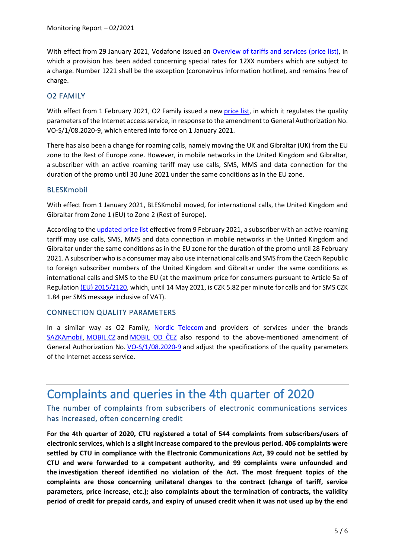With effect from 29 January 2021, Vodafone issued an [Overview of tariffs and services \(price list\),](https://www.vodafone.cz/_sys_/FileStorage/download/1/794/prehled-tarifu-a-sluzeb.pdf) in which a provision has been added concerning special rates for 12XX numbers which are subject to a charge. Number 1221 shall be the exception (coronavirus information hotline), and remains free of charge.

### O2 FAMILY

With effect from 1 February 2021, O2 Family issued a new [price list,](https://www.o2family.cz/files/content/podminky/20210201/2021-02-01-cenik-pravidla-verejna-nabidka.pdf) in which it regulates the quality parameters of the Internet accessservice, in response to the amendment to General Authorization No. VO-S/1/08.2020-9, which entered into force on 1 January 2021.

There has also been a change for roaming calls, namely moving the UK and Gibraltar (UK) from the EU zone to the Rest of Europe zone. However, in mobile networks in the United Kingdom and Gibraltar, a subscriber with an active roaming tariff may use calls, SMS, MMS and data connection for the duration of the promo until 30 June 2021 under the same conditions as in the EU zone.

### BLESKmobil

With effect from 1 January 2021, BLESKmobil moved, for international calls, the United Kingdom and Gibraltar from Zone 1 (EU) to Zone 2 (Rest of Europe).

According to th[e updated price list](https://bleskmobil.cz/wp-content/uploads/2021/02/Bleskmobil_cenik_platnost_od_9.2.2021.pdf) effective from 9 February 2021, a subscriber with an active roaming tariff may use calls, SMS, MMS and data connection in mobile networks in the United Kingdom and Gibraltar under the same conditions as in the EU zone for the duration of the promo until 28 February 2021. A subscriber who is a consumer may also use international calls and SMS from the Czech Republic to foreign subscriber numbers of the United Kingdom and Gibraltar under the same conditions as international calls and SMS to the EU (at the maximum price for consumers pursuant to Article 5a of Regulation [\(EU\) 2015/2120,](https://eur-lex.europa.eu/legal-content/EN/TXT/PDF/?uri=CELEX:32015R2120&from=CS) which, until 14 May 2021, is CZK 5.82 per minute for calls and for SMS CZK 1.84 per SMS message inclusive of VAT).

#### CONNECTION QUALITY PARAMETERS

In a similar way as O2 Family, [Nordic Telecom](https://www.nordictelecom.cz/docs/Obchodni-podminky-datovych-sluzeb_01_01_2021.pdf) and providers of services under the brands [SAZKAmobil,](https://cdn.sazkamobil.cz/sazkamobil/image/upload/v1610978523/sazkamobil/ke-stazeni/podminky/2021-02-18-sazkamobil-podminky-poskytovani-mobilnich-datovych-sluzeb_glpgku.pdf) [MOBIL.CZ](https://1gr.cz/data/soubory/microsites/88A201222_BECH_026_210x297_MOBIL_CEN.pdf) and [MOBIL OD ČEZ](https://www.cez.cz/webpublic/file/edee/2020/12/cezmobil-vp.pdf) also respond to the above-mentioned amendment of General Authorization No. [VO-S/1/08.2020-9](https://www.ctu.cz/sites/default/files/obsah/stranky/36864/soubory/vos1final.pdf) and adjust the specifications of the quality parameters of the Internet access service.

## Complaints and queries in the 4th quarter of 2020

### The number of complaints from subscribers of electronic communications services has increased, often concerning credit

**For the 4th quarter of 2020, CTU registered a total of 544 complaints from subscribers/users of electronic services, which is a slight increase compared to the previous period. 406 complaints were settled by CTU in compliance with the Electronic Communications Act, 39 could not be settled by CTU and were forwarded to a competent authority, and 99 complaints were unfounded and the investigation thereof identified no violation of the Act. The most frequent topics of the complaints are those concerning unilateral changes to the contract (change of tariff, service parameters, price increase, etc.); also complaints about the termination of contracts, the validity period of credit for prepaid cards, and expiry of unused credit when it was not used up by the end**